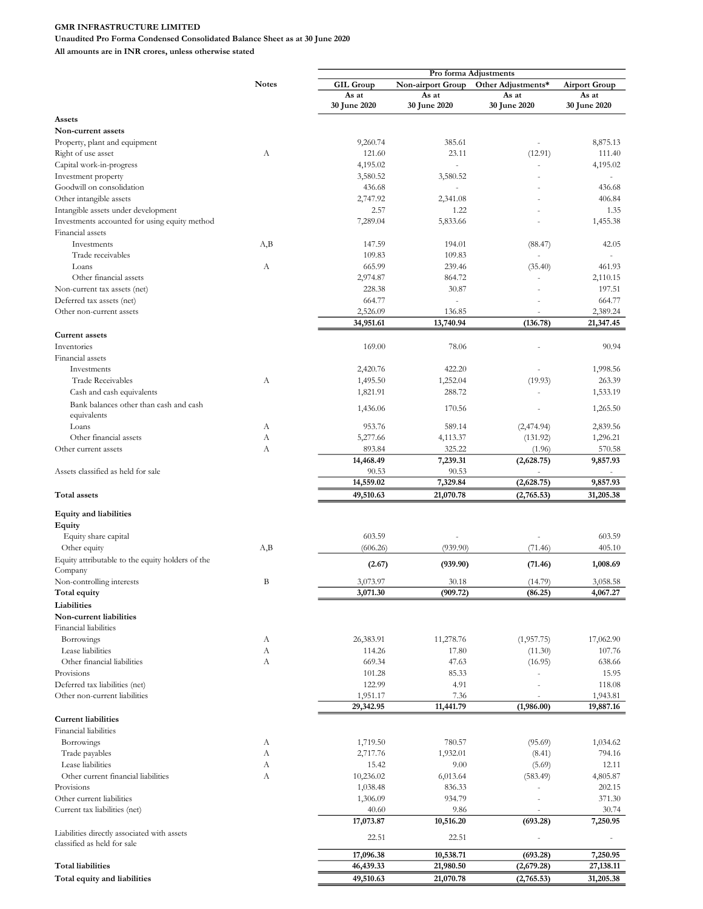Unaudited Pro Forma Condensed Consolidated Balance Sheet as at 30 June 2020

|                                                  |              | Pro forma Adjustments |                          |                          |                      |
|--------------------------------------------------|--------------|-----------------------|--------------------------|--------------------------|----------------------|
|                                                  | <b>Notes</b> | <b>GIL Group</b>      | Non-airport Group        | Other Adjustments*       | <b>Airport Group</b> |
|                                                  |              | As at                 | As at                    | As at                    | As at                |
|                                                  |              | 30 June 2020          | 30 June 2020             | 30 June 2020             | 30 June 2020         |
| Assets                                           |              |                       |                          |                          |                      |
| Non-current assets                               |              |                       |                          |                          |                      |
|                                                  |              |                       | 385.61                   |                          |                      |
| Property, plant and equipment                    |              | 9,260.74              |                          |                          | 8,875.13             |
| Right of use asset                               | А            | 121.60                | 23.11                    | (12.91)                  | 111.40               |
| Capital work-in-progress                         |              | 4,195.02              | ÷,                       |                          | 4,195.02             |
| Investment property                              |              | 3,580.52              | 3,580.52                 |                          |                      |
| Goodwill on consolidation                        |              | 436.68                |                          |                          | 436.68               |
| Other intangible assets                          |              | 2,747.92              | 2,341.08                 |                          | 406.84               |
| Intangible assets under development              |              | 2.57                  | 1.22                     |                          | 1.35                 |
|                                                  |              |                       |                          |                          |                      |
| Investments accounted for using equity method    |              | 7,289.04              | 5,833.66                 |                          | 1,455.38             |
| Financial assets                                 |              |                       |                          |                          |                      |
| Investments                                      | A,B          | 147.59                | 194.01                   | (88.47)                  | 42.05                |
| Trade receivables                                |              | 109.83                | 109.83                   |                          |                      |
| Loans                                            | А            | 665.99                | 239.46                   | (35.40)                  | 461.93               |
| Other financial assets                           |              | 2,974.87              | 864.72                   |                          | 2,110.15             |
|                                                  |              |                       |                          |                          |                      |
| Non-current tax assets (net)                     |              | 228.38                | 30.87                    |                          | 197.51               |
| Deferred tax assets (net)                        |              | 664.77                | $\overline{\phantom{a}}$ |                          | 664.77               |
| Other non-current assets                         |              | 2,526.09              | 136.85                   |                          | 2,389.24             |
|                                                  |              | 34,951.61             | 13,740.94                | (136.78)                 | 21,347.45            |
| <b>Current assets</b>                            |              |                       |                          |                          |                      |
|                                                  |              |                       |                          |                          |                      |
| Inventories                                      |              | 169.00                | 78.06                    |                          | 90.94                |
| Financial assets                                 |              |                       |                          |                          |                      |
| Investments                                      |              | 2,420.76              | 422.20                   |                          | 1,998.56             |
| <b>Trade Receivables</b>                         | А            | 1,495.50              | 1,252.04                 | (19.93)                  | 263.39               |
| Cash and cash equivalents                        |              | 1,821.91              | 288.72                   |                          | 1,533.19             |
|                                                  |              |                       |                          |                          |                      |
| Bank balances other than cash and cash           |              | 1,436.06              | 170.56                   |                          | 1,265.50             |
| equivalents                                      |              |                       |                          |                          |                      |
| Loans                                            | А            | 953.76                | 589.14                   | (2,474.94)               | 2,839.56             |
| Other financial assets                           | А            | 5,277.66              | 4,113.37                 | (131.92)                 | 1,296.21             |
| Other current assets                             | А            | 893.84                | 325.22                   | (1.96)                   | 570.58               |
|                                                  |              | 14,468.49             | 7,239.31                 | (2,628.75)               | 9,857.93             |
|                                                  |              |                       |                          |                          |                      |
| Assets classified as held for sale               |              | 90.53                 | 90.53                    |                          |                      |
|                                                  |              | 14,559.02             | 7,329.84                 | (2,628.75)               | 9,857.93             |
| Total assets                                     |              | 49,510.63             | 21,070.78                | (2,765.53)               | 31,205.38            |
|                                                  |              |                       |                          |                          |                      |
| <b>Equity and liabilities</b>                    |              |                       |                          |                          |                      |
| Equity                                           |              |                       |                          |                          |                      |
| Equity share capital                             |              | 603.59                |                          |                          | 603.59               |
|                                                  | A,B          | (606.26)              | (939.90)                 |                          | 405.10               |
| Other equity                                     |              |                       |                          | (71.46)                  |                      |
| Equity attributable to the equity holders of the |              | (2.67)                | (939.90)                 | (71.46)                  | 1,008.69             |
| Company                                          |              |                       |                          |                          |                      |
| Non-controlling interests                        | B            | 3,073.97              | 30.18                    | (14.79)                  | 3,058.58             |
| Total equity                                     |              | 3,071.30              | (909.72)                 | (86.25)                  | 4,067.27             |
| Liabilities                                      |              |                       |                          |                          |                      |
|                                                  |              |                       |                          |                          |                      |
| Non-current liabilities                          |              |                       |                          |                          |                      |
| Financial liabilities                            |              |                       |                          |                          |                      |
| Borrowings                                       | А            | 26,383.91             | 11,278.76                | (1,957.75)               | 17,062.90            |
| Lease liabilities                                | А            | 114.26                | 17.80                    | (11.30)                  | 107.76               |
| Other financial liabilities                      | А            | 669.34                | 47.63                    | (16.95)                  | 638.66               |
| Provisions                                       |              | 101.28                | 85.33                    |                          | 15.95                |
|                                                  |              |                       |                          |                          |                      |
| Deferred tax liabilities (net)                   |              | 122.99                | 4.91                     |                          | 118.08               |
| Other non-current liabilities                    |              | 1,951.17              | 7.36                     |                          | 1,943.81             |
|                                                  |              | 29,342.95             | 11,441.79                | (1,986.00)               | 19,887.16            |
| <b>Current liabilities</b>                       |              |                       |                          |                          |                      |
| <b>Financial</b> liabilities                     |              |                       |                          |                          |                      |
|                                                  |              |                       |                          |                          |                      |
| Borrowings                                       | А            | 1,719.50              | 780.57                   | (95.69)                  | 1,034.62             |
| Trade payables                                   | А            | 2,717.76              | 1,932.01                 | (8.41)                   | 794.16               |
| Lease liabilities                                | А            | 15.42                 | 9.00                     | (5.69)                   | 12.11                |
| Other current financial liabilities              | А            | 10,236.02             | 6,013.64                 | (583.49)                 | 4,805.87             |
| Provisions                                       |              | 1,038.48              | 836.33                   |                          | 202.15               |
| Other current liabilities                        |              | 1,306.09              | 934.79                   |                          | 371.30               |
|                                                  |              |                       |                          |                          |                      |
| Current tax liabilities (net)                    |              | 40.60                 | 9.86                     | $\overline{\phantom{a}}$ | 30.74                |
|                                                  |              | 17,073.87             | 10,516.20                | (693.28)                 | 7,250.95             |
| Liabilities directly associated with assets      |              |                       |                          |                          |                      |
| classified as held for sale                      |              | 22.51                 | 22.51                    |                          |                      |
|                                                  |              | 17,096.38             | 10,538.71                | (693.28)                 | 7,250.95             |
| <b>Total liabilities</b>                         |              | 46,439.33             | 21,980.50                |                          |                      |
|                                                  |              |                       |                          | (2,679.28)               | 27,138.11            |
| Total equity and liabilities                     |              | 49,510.63             | 21,070.78                | (2,765.53)               | 31,205.38            |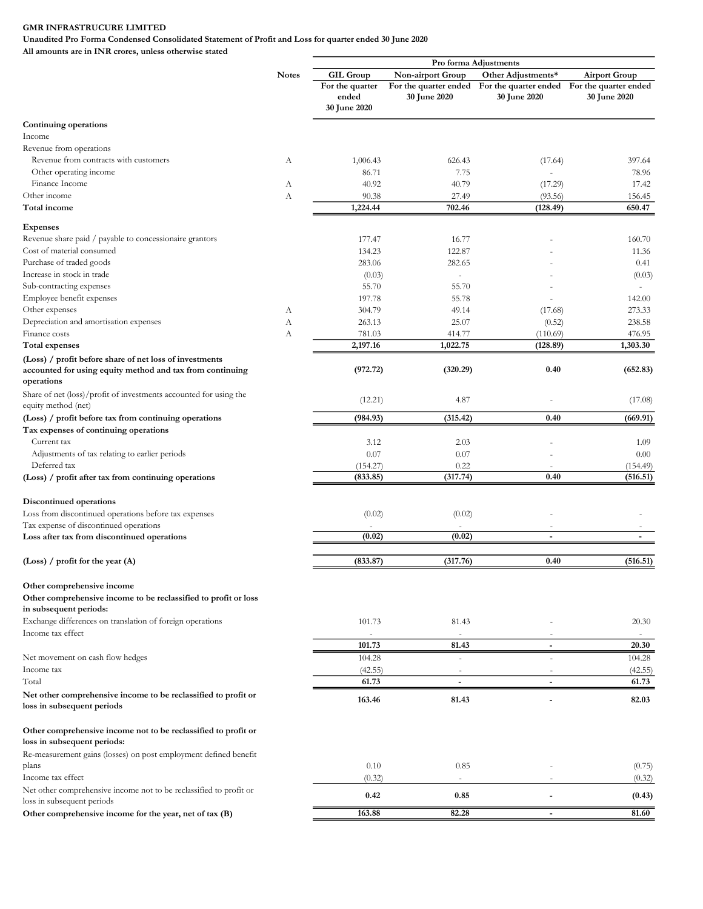Unaudited Pro Forma Condensed Consolidated Statement of Profit and Loss for quarter ended 30 June 2020

|                                                                                                                      |              | Pro forma Adjustments                    |                          |                                                                                          |                      |
|----------------------------------------------------------------------------------------------------------------------|--------------|------------------------------------------|--------------------------|------------------------------------------------------------------------------------------|----------------------|
|                                                                                                                      | <b>Notes</b> | <b>GIL Group</b>                         | Non-airport Group        | Other Adjustments*                                                                       | <b>Airport Group</b> |
|                                                                                                                      |              | For the quarter<br>ended<br>30 June 2020 | 30 June 2020             | For the quarter ended For the quarter ended For the quarter ended<br><b>30 June 2020</b> | 30 June 2020         |
| Continuing operations                                                                                                |              |                                          |                          |                                                                                          |                      |
| Income                                                                                                               |              |                                          |                          |                                                                                          |                      |
| Revenue from operations                                                                                              |              |                                          |                          |                                                                                          |                      |
| Revenue from contracts with customers                                                                                | А            | 1,006.43                                 | 626.43                   | (17.64)                                                                                  | 397.64               |
| Other operating income                                                                                               |              | 86.71                                    | 7.75                     |                                                                                          | 78.96                |
| Finance Income                                                                                                       | А            | 40.92                                    | 40.79                    | (17.29)                                                                                  | 17.42                |
| Other income                                                                                                         | А            | 90.38                                    | 27.49<br>702.46          | (93.56)                                                                                  | 156.45               |
| Total income                                                                                                         |              | 1,224.44                                 |                          | (128.49)                                                                                 | 650.47               |
| <b>Expenses</b>                                                                                                      |              |                                          |                          |                                                                                          |                      |
| Revenue share paid / payable to concessionaire grantors                                                              |              | 177.47                                   | 16.77                    |                                                                                          | 160.70               |
| Cost of material consumed                                                                                            |              | 134.23                                   | 122.87                   |                                                                                          | 11.36                |
| Purchase of traded goods                                                                                             |              | 283.06                                   | 282.65                   |                                                                                          | 0.41                 |
| Increase in stock in trade                                                                                           |              | (0.03)                                   | ä,                       |                                                                                          | (0.03)               |
| Sub-contracting expenses                                                                                             |              | 55.70                                    | 55.70                    |                                                                                          |                      |
| Employee benefit expenses                                                                                            |              | 197.78                                   | 55.78                    |                                                                                          | 142.00               |
| Other expenses                                                                                                       | А            | 304.79                                   | 49.14                    | (17.68)                                                                                  | 273.33               |
| Depreciation and amortisation expenses                                                                               | А            | 263.13                                   | 25.07                    | (0.52)                                                                                   | 238.58               |
| Finance costs                                                                                                        | А            | 781.03                                   | 414.77                   | (110.69)                                                                                 | 476.95               |
| <b>Total expenses</b>                                                                                                |              | 2,197.16                                 | 1,022.75                 | (128.89)                                                                                 | 1,303.30             |
| (Loss) / profit before share of net loss of investments<br>accounted for using equity method and tax from continuing |              | (972.72)                                 | (320.29)                 | 0.40                                                                                     | (652.83)             |
| operations                                                                                                           |              |                                          |                          |                                                                                          |                      |
| Share of net (loss)/profit of investments accounted for using the                                                    |              |                                          |                          |                                                                                          |                      |
| equity method (net)                                                                                                  |              | (12.21)                                  | 4.87                     |                                                                                          | (17.08)              |
| (Loss) / profit before tax from continuing operations                                                                |              | (984.93)                                 | (315.42)                 | 0.40                                                                                     | (669.91)             |
| Tax expenses of continuing operations                                                                                |              |                                          |                          |                                                                                          |                      |
| Current tax                                                                                                          |              | 3.12                                     | 2.03                     |                                                                                          | 1.09                 |
| Adjustments of tax relating to earlier periods                                                                       |              | 0.07                                     | 0.07                     |                                                                                          | 0.00                 |
| Deferred tax                                                                                                         |              | (154.27)                                 | 0.22                     |                                                                                          | (154.49)             |
| (Loss) / profit after tax from continuing operations                                                                 |              | (833.85)                                 | (317.74)                 | 0.40                                                                                     | (516.51)             |
|                                                                                                                      |              |                                          |                          |                                                                                          |                      |
| Discontinued operations                                                                                              |              |                                          |                          |                                                                                          |                      |
| Loss from discontinued operations before tax expenses                                                                |              | (0.02)                                   | (0.02)                   |                                                                                          |                      |
| Tax expense of discontinued operations                                                                               |              |                                          |                          |                                                                                          |                      |
| Loss after tax from discontinued operations                                                                          |              | (0.02)                                   | (0.02)                   | $\overline{a}$                                                                           |                      |
| (Loss) / profit for the year $(A)$                                                                                   |              | (833.87)                                 | (317.76)                 | 0.40                                                                                     | (516.51)             |
|                                                                                                                      |              |                                          |                          |                                                                                          |                      |
| Other comprehensive income                                                                                           |              |                                          |                          |                                                                                          |                      |
| Other comprehensive income to be reclassified to profit or loss                                                      |              |                                          |                          |                                                                                          |                      |
| in subsequent periods:                                                                                               |              |                                          |                          |                                                                                          |                      |
| Exchange differences on translation of foreign operations                                                            |              | 101.73                                   | 81.43                    |                                                                                          | 20.30                |
| Income tax effect                                                                                                    |              | ×,                                       | $\sim$                   |                                                                                          | $\sim$               |
|                                                                                                                      |              | 101.73                                   | 81.43                    | $\overline{a}$                                                                           | 20.30                |
| Net movement on cash flow hedges                                                                                     |              | 104.28                                   | ä,                       |                                                                                          | 104.28               |
| Income tax<br>Total                                                                                                  |              | (42.55)<br>61.73                         | $\overline{\phantom{a}}$ | $\overline{\phantom{a}}$                                                                 | (42.55)<br>61.73     |
|                                                                                                                      |              |                                          |                          |                                                                                          |                      |
| Net other comprehensive income to be reclassified to profit or<br>loss in subsequent periods                         |              | 163.46                                   | 81.43                    |                                                                                          | 82.03                |
| Other comprehensive income not to be reclassified to profit or                                                       |              |                                          |                          |                                                                                          |                      |
| loss in subsequent periods:                                                                                          |              |                                          |                          |                                                                                          |                      |
| Re-measurement gains (losses) on post employment defined benefit                                                     |              |                                          |                          |                                                                                          |                      |
| plans<br>Income tax effect                                                                                           |              | 0.10                                     | 0.85                     |                                                                                          | (0.75)               |
| Net other comprehensive income not to be reclassified to profit or                                                   |              | (0.32)                                   | $\overline{\phantom{a}}$ | ٠                                                                                        | (0.32)               |
| loss in subsequent periods                                                                                           |              | 0.42                                     | 0.85                     |                                                                                          | (0.43)               |
| Other comprehensive income for the year, net of tax (B)                                                              |              | 163.88                                   | 82.28                    |                                                                                          | 81.60                |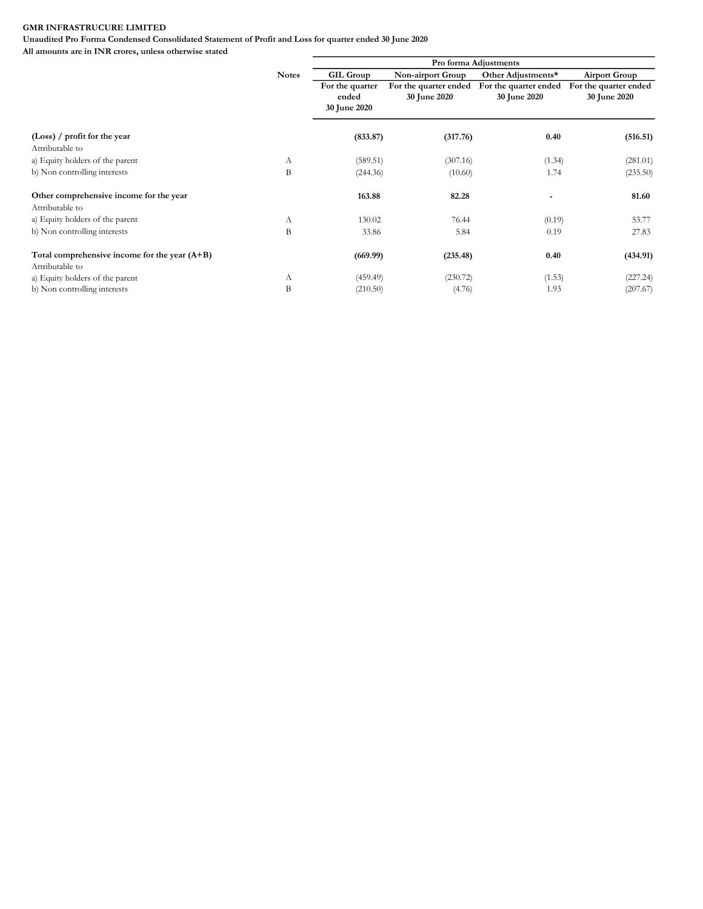Unaudited Pro Forma Condensed Consolidated Statement of Profit and Loss for quarter ended 30 June 2020

|                                                 |              | Pro forma Adjustments |                       |                          |                       |  |
|-------------------------------------------------|--------------|-----------------------|-----------------------|--------------------------|-----------------------|--|
|                                                 | <b>Notes</b> | <b>GIL Group</b>      | Non-airport Group     | Other Adjustments*       | <b>Airport Group</b>  |  |
|                                                 |              | For the quarter       | For the quarter ended | For the quarter ended    | For the quarter ended |  |
|                                                 |              | ended                 | <b>30 June 2020</b>   | 30 June 2020             | 30 June 2020          |  |
|                                                 |              | 30 June 2020          |                       |                          |                       |  |
| $(Loss)$ / profit for the year                  |              | (833.87)              | (317.76)              | 0.40                     | (516.51)              |  |
| Attributable to                                 |              |                       |                       |                          |                       |  |
| a) Equity holders of the parent                 | А            | (589.51)              | (307.16)              | (1.34)                   | (281.01)              |  |
| b) Non controlling interests                    | B            | (244.36)              | (10.60)               | 1.74                     | (235.50)              |  |
| Other comprehensive income for the year         |              | 163.88                | 82.28                 | $\overline{\phantom{0}}$ | 81.60                 |  |
| Attributable to                                 |              |                       |                       |                          |                       |  |
| a) Equity holders of the parent                 | А            | 130.02                | 76.44                 | (0.19)                   | 53.77                 |  |
| b) Non controlling interests                    | B            | 33.86                 | 5.84                  | 0.19                     | 27.83                 |  |
| Total comprehensive income for the year $(A+B)$ |              | (669.99)              | (235.48)              | 0.40                     | (434.91)              |  |
| Attributable to                                 |              |                       |                       |                          |                       |  |
| a) Equity holders of the parent                 | А            | (459.49)              | (230.72)              | (1.53)                   | (227.24)              |  |
| b) Non controlling interests                    | B            | (210.50)              | (4.76)                | 1.93                     | (207.67)              |  |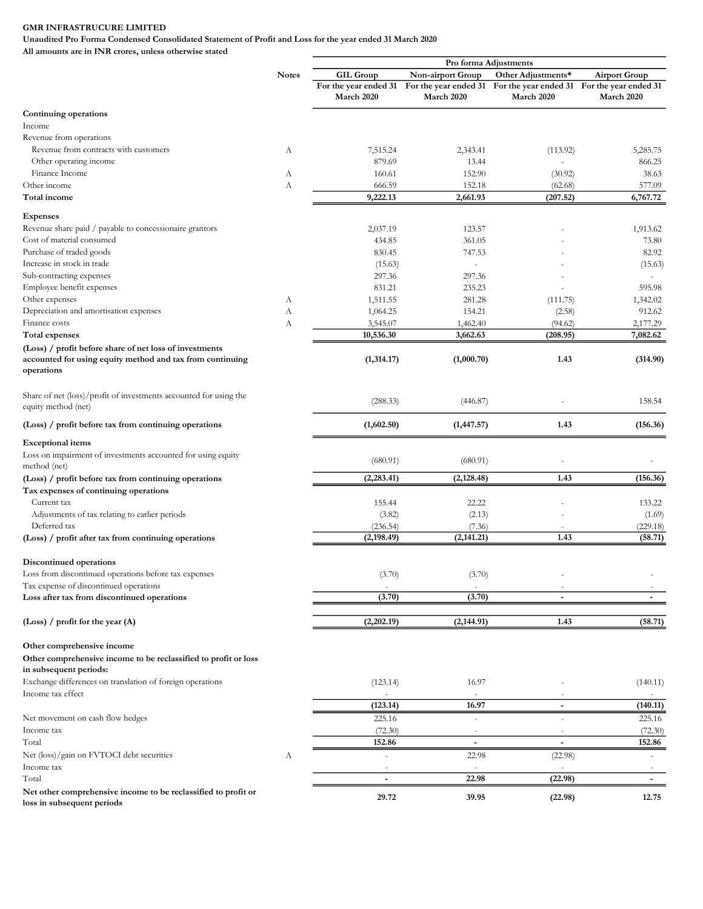Unaudited Pro Forma Condensed Consolidated Statement of Profit and Loss for the year ended 31 March 2020

|                                                                                                                                    |              | Pro forma Adjustments    |                                                                                         |                          |                          |
|------------------------------------------------------------------------------------------------------------------------------------|--------------|--------------------------|-----------------------------------------------------------------------------------------|--------------------------|--------------------------|
|                                                                                                                                    | <b>Notes</b> | <b>GIL Group</b>         | Non-airport Group                                                                       | Other Adjustments*       | <b>Airport Group</b>     |
|                                                                                                                                    |              |                          | For the year ended 31 For the year ended 31 For the year ended 31 For the year ended 31 |                          |                          |
|                                                                                                                                    |              | March 2020               | March 2020                                                                              | March 2020               | March 2020               |
| Continuing operations                                                                                                              |              |                          |                                                                                         |                          |                          |
| Income                                                                                                                             |              |                          |                                                                                         |                          |                          |
| Revenue from operations                                                                                                            |              |                          |                                                                                         |                          |                          |
| Revenue from contracts with customers                                                                                              | А            | 7,515.24                 | 2,343.41                                                                                | (113.92)                 | 5,285.75                 |
| Other operating income                                                                                                             |              | 879.69                   | 13.44                                                                                   |                          | 866.25                   |
| Finance Income                                                                                                                     | А            | 160.61                   | 152.90                                                                                  | (30.92)                  | 38.63                    |
| Other income                                                                                                                       | А            | 666.59                   | 152.18                                                                                  | (62.68)                  | 577.09                   |
| Total income                                                                                                                       |              | 9,222.13                 | 2,661.93                                                                                | (207.52)                 | 6,767.72                 |
| <b>Expenses</b>                                                                                                                    |              |                          |                                                                                         |                          |                          |
| Revenue share paid / payable to concessionaire grantors                                                                            |              | 2,037.19                 | 123.57                                                                                  |                          | 1,913.62                 |
| Cost of material consumed                                                                                                          |              | 434.85                   | 361.05                                                                                  |                          | 73.80                    |
| Purchase of traded goods                                                                                                           |              | 830.45                   | 747.53                                                                                  |                          | 82.92                    |
| Increase in stock in trade                                                                                                         |              | (15.63)                  |                                                                                         |                          | (15.63)                  |
| Sub-contracting expenses                                                                                                           |              | 297.36                   | 297.36                                                                                  |                          |                          |
| Employee benefit expenses                                                                                                          |              | 831.21                   | 235.23                                                                                  |                          | 595.98                   |
| Other expenses                                                                                                                     | А            | 1,511.55                 | 281.28                                                                                  | (111.75)                 | 1,342.02                 |
| Depreciation and amortisation expenses                                                                                             | А            | 1,064.25                 | 154.21                                                                                  | (2.58)                   | 912.62                   |
| Finance costs                                                                                                                      | А            | 3,545.07                 | 1,462.40                                                                                | (94.62)                  | 2,177.29                 |
| <b>Total expenses</b>                                                                                                              |              | 10,536.30                | 3,662.63                                                                                | (208.95)                 | 7,082.62                 |
|                                                                                                                                    |              |                          |                                                                                         |                          |                          |
| (Loss) / profit before share of net loss of investments<br>accounted for using equity method and tax from continuing<br>operations |              | (1,314.17)               | (1,000.70)                                                                              | 1.43                     | (314.90)                 |
| Share of net (loss)/profit of investments accounted for using the<br>equity method (net)                                           |              | (288.33)                 | (446.87)                                                                                |                          | 158.54                   |
| (Loss) / profit before tax from continuing operations                                                                              |              | (1,602.50)               | (1, 447.57)                                                                             | 1.43                     | (156.36)                 |
| <b>Exceptional items</b>                                                                                                           |              |                          |                                                                                         |                          |                          |
|                                                                                                                                    |              |                          |                                                                                         |                          |                          |
| Loss on impairment of investments accounted for using equity<br>method (net)                                                       |              | (680.91)                 | (680.91)                                                                                |                          |                          |
| (Loss) / profit before tax from continuing operations                                                                              |              | (2, 283.41)              | (2, 128.48)                                                                             | 1.43                     | (156.36)                 |
| Tax expenses of continuing operations                                                                                              |              |                          |                                                                                         |                          |                          |
| Current tax                                                                                                                        |              | 155.44                   | 22.22                                                                                   |                          | 133.22                   |
| Adjustments of tax relating to earlier periods                                                                                     |              | (3.82)                   | (2.13)                                                                                  |                          | (1.69)                   |
| Deferred tax                                                                                                                       |              | (236.54)                 | (7.36)                                                                                  |                          | (229.18)                 |
| (Loss) / profit after tax from continuing operations                                                                               |              | (2, 198.49)              | (2, 141.21)                                                                             | 1.43                     | (58.71)                  |
| Discontinued operations                                                                                                            |              |                          |                                                                                         |                          |                          |
| Loss from discontinued operations before tax expenses                                                                              |              | (3.70)                   | (3.70)                                                                                  |                          |                          |
| Tax expense of discontinued operations                                                                                             |              |                          |                                                                                         |                          |                          |
| Loss after tax from discontinued operations                                                                                        |              | (3.70)                   | (3.70)                                                                                  | $\blacksquare$           | $\overline{\phantom{a}}$ |
| (Loss) / profit for the year $(A)$                                                                                                 |              | (2,202.19)               | (2, 144.91)                                                                             | 1.43                     | (58.71)                  |
|                                                                                                                                    |              |                          |                                                                                         |                          |                          |
| Other comprehensive income                                                                                                         |              |                          |                                                                                         |                          |                          |
| Other comprehensive income to be reclassified to profit or loss<br>in subsequent periods:                                          |              |                          |                                                                                         |                          |                          |
| Exchange differences on translation of foreign operations                                                                          |              | (123.14)                 | 16.97                                                                                   |                          | (140.11)                 |
| Income tax effect                                                                                                                  |              |                          |                                                                                         |                          |                          |
|                                                                                                                                    |              |                          |                                                                                         |                          |                          |
|                                                                                                                                    |              | (123.14)                 | 16.97                                                                                   |                          | (140.11)                 |
| Net movement on cash flow hedges                                                                                                   |              | 225.16                   | $\sim$                                                                                  | ÷.                       | 225.16                   |
| Income tax                                                                                                                         |              | (72.30)                  | $\overline{\phantom{a}}$                                                                | $\sim$                   | (72.30)                  |
| Total                                                                                                                              |              | 152.86                   | $\overline{\phantom{a}}$                                                                | $\overline{\phantom{a}}$ | 152.86                   |
| Net (loss)/gain on FVTOCI debt securities                                                                                          | А            |                          | 22.98                                                                                   | (22.98)                  |                          |
| Income tax                                                                                                                         |              |                          |                                                                                         |                          |                          |
| Total                                                                                                                              |              | $\overline{\phantom{a}}$ | 22.98                                                                                   | (22.98)                  | $\sim$                   |
| Net other comprehensive income to be reclassified to profit or<br>loss in subsequent periods                                       |              | 29.72                    | 39.95                                                                                   | (22.98)                  | 12.75                    |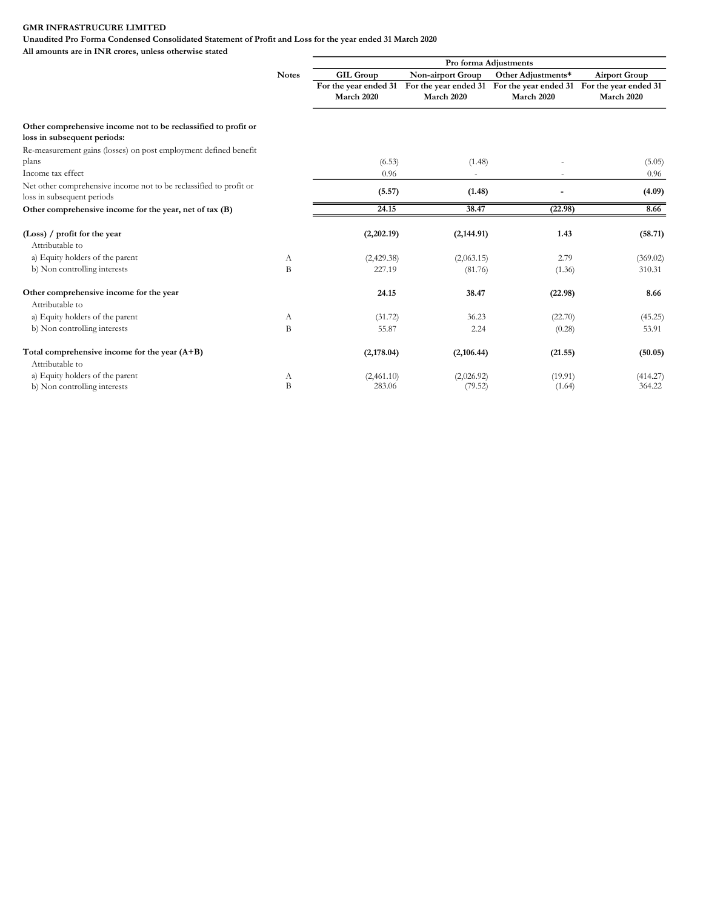Unaudited Pro Forma Condensed Consolidated Statement of Profit and Loss for the year ended 31 March 2020

|                                                                                                  |              | Pro forma Adjustments               |                                     |                                     |                                     |  |
|--------------------------------------------------------------------------------------------------|--------------|-------------------------------------|-------------------------------------|-------------------------------------|-------------------------------------|--|
|                                                                                                  | <b>Notes</b> | <b>GIL Group</b>                    | Non-airport Group                   | Other Adjustments*                  | <b>Airport Group</b>                |  |
|                                                                                                  |              | For the year ended 31<br>March 2020 | For the year ended 31<br>March 2020 | For the year ended 31<br>March 2020 | For the year ended 31<br>March 2020 |  |
| Other comprehensive income not to be reclassified to profit or<br>loss in subsequent periods:    |              |                                     |                                     |                                     |                                     |  |
| Re-measurement gains (losses) on post employment defined benefit                                 |              |                                     |                                     |                                     |                                     |  |
| plans                                                                                            |              | (6.53)                              | (1.48)                              |                                     | (5.05)                              |  |
| Income tax effect                                                                                |              | 0.96                                |                                     |                                     | 0.96                                |  |
| Net other comprehensive income not to be reclassified to profit or<br>loss in subsequent periods |              | (5.57)                              | (1.48)                              |                                     | (4.09)                              |  |
| Other comprehensive income for the year, net of tax (B)                                          |              | 24.15                               | 38.47                               | (22.98)                             | 8.66                                |  |
| (Loss) / profit for the year<br>Attributable to                                                  |              | (2,202.19)                          | (2, 144.91)                         | 1.43                                | (58.71)                             |  |
| a) Equity holders of the parent                                                                  | А            | (2,429.38)                          | (2,063.15)                          | 2.79                                | (369.02)                            |  |
| b) Non controlling interests                                                                     | B            | 227.19                              | (81.76)                             | (1.36)                              | 310.31                              |  |
| Other comprehensive income for the year<br>Attributable to                                       |              | 24.15                               | 38.47                               | (22.98)                             | 8.66                                |  |
| a) Equity holders of the parent                                                                  | А            | (31.72)                             | 36.23                               | (22.70)                             | (45.25)                             |  |
| b) Non controlling interests                                                                     | B            | 55.87                               | 2.24                                | (0.28)                              | 53.91                               |  |
| Total comprehensive income for the year $(A+B)$<br>Attributable to                               |              | (2,178.04)                          | (2,106.44)                          | (21.55)                             | (50.05)                             |  |
| a) Equity holders of the parent                                                                  | А            | (2,461.10)                          | (2,026.92)                          | (19.91)                             | (414.27)                            |  |
| b) Non controlling interests                                                                     | B            | 283.06                              | (79.52)                             | (1.64)                              | 364.22                              |  |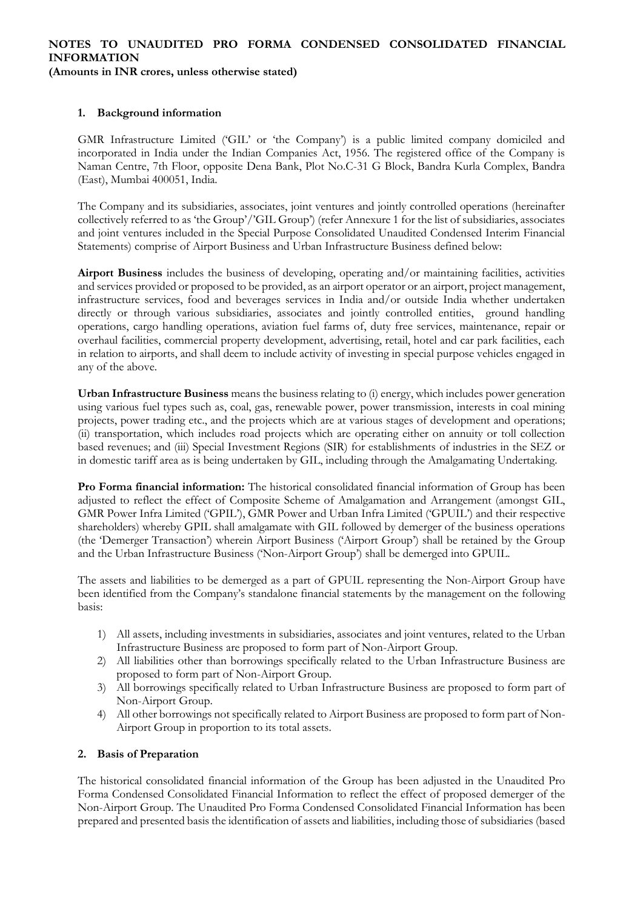### **NOTES TO UNAUDITED PRO FORMA CONDENSED CONSOLIDATED FINANCIAL INFORMATION (Amounts in INR crores, unless otherwise stated)**

## **1. Background information**

GMR Infrastructure Limited ('GIL' or 'the Company') is a public limited company domiciled and incorporated in India under the Indian Companies Act, 1956. The registered office of the Company is Naman Centre, 7th Floor, opposite Dena Bank, Plot No.C-31 G Block, Bandra Kurla Complex, Bandra (East), Mumbai 400051, India.

The Company and its subsidiaries, associates, joint ventures and jointly controlled operations (hereinafter collectively referred to as 'the Group'/'GIL Group') (refer Annexure 1 for the list of subsidiaries, associates and joint ventures included in the Special Purpose Consolidated Unaudited Condensed Interim Financial Statements) comprise of Airport Business and Urban Infrastructure Business defined below:

**Airport Business** includes the business of developing, operating and/or maintaining facilities, activities and services provided or proposed to be provided, as an airport operator or an airport, project management, infrastructure services, food and beverages services in India and/or outside India whether undertaken directly or through various subsidiaries, associates and jointly controlled entities, ground handling operations, cargo handling operations, aviation fuel farms of, duty free services, maintenance, repair or overhaul facilities, commercial property development, advertising, retail, hotel and car park facilities, each in relation to airports, and shall deem to include activity of investing in special purpose vehicles engaged in any of the above.

**Urban Infrastructure Business** means the business relating to (i) energy, which includes power generation using various fuel types such as, coal, gas, renewable power, power transmission, interests in coal mining projects, power trading etc., and the projects which are at various stages of development and operations; (ii) transportation, which includes road projects which are operating either on annuity or toll collection based revenues; and (iii) Special Investment Regions (SIR) for establishments of industries in the SEZ or in domestic tariff area as is being undertaken by GIL, including through the Amalgamating Undertaking.

**Pro Forma financial information:** The historical consolidated financial information of Group has been adjusted to reflect the effect of Composite Scheme of Amalgamation and Arrangement (amongst GIL, GMR Power Infra Limited ('GPIL'), GMR Power and Urban Infra Limited ('GPUIL') and their respective shareholders) whereby GPIL shall amalgamate with GIL followed by demerger of the business operations (the 'Demerger Transaction') wherein Airport Business ('Airport Group') shall be retained by the Group and the Urban Infrastructure Business ('Non-Airport Group') shall be demerged into GPUIL.

The assets and liabilities to be demerged as a part of GPUIL representing the Non-Airport Group have been identified from the Company's standalone financial statements by the management on the following basis:

- 1) All assets, including investments in subsidiaries, associates and joint ventures, related to the Urban Infrastructure Business are proposed to form part of Non-Airport Group.
- 2) All liabilities other than borrowings specifically related to the Urban Infrastructure Business are proposed to form part of Non-Airport Group.
- 3) All borrowings specifically related to Urban Infrastructure Business are proposed to form part of Non-Airport Group.
- 4) All other borrowings not specifically related to Airport Business are proposed to form part of Non-Airport Group in proportion to its total assets.

## **2. Basis of Preparation**

The historical consolidated financial information of the Group has been adjusted in the Unaudited Pro Forma Condensed Consolidated Financial Information to reflect the effect of proposed demerger of the Non-Airport Group. The Unaudited Pro Forma Condensed Consolidated Financial Information has been prepared and presented basis the identification of assets and liabilities, including those of subsidiaries (based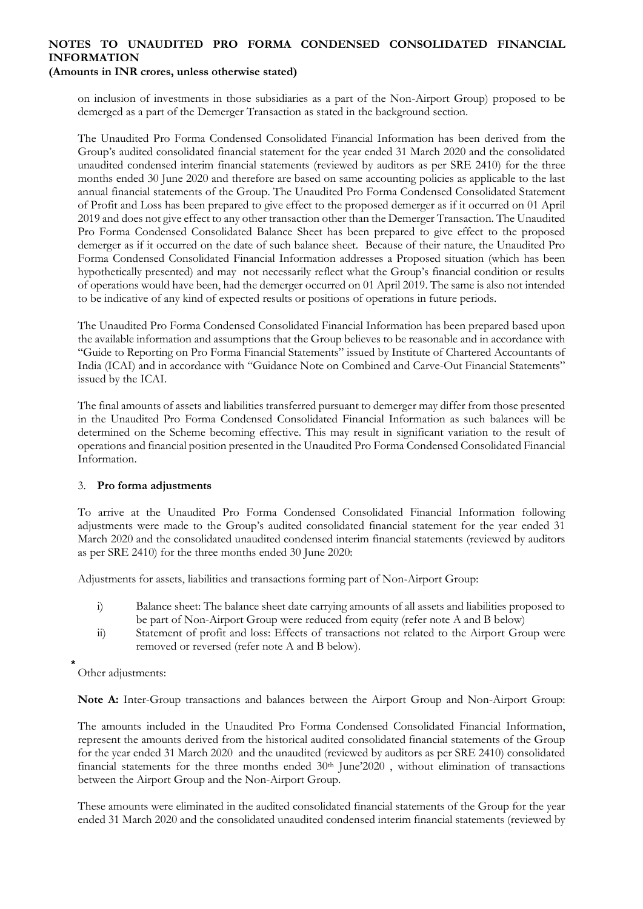## **(Amounts in INR crores, unless otherwise stated)**

on inclusion of investments in those subsidiaries as a part of the Non-Airport Group) proposed to be demerged as a part of the Demerger Transaction as stated in the background section.

The Unaudited Pro Forma Condensed Consolidated Financial Information has been derived from the Group's audited consolidated financial statement for the year ended 31 March 2020 and the consolidated unaudited condensed interim financial statements (reviewed by auditors as per SRE 2410) for the three months ended 30 June 2020 and therefore are based on same accounting policies as applicable to the last annual financial statements of the Group. The Unaudited Pro Forma Condensed Consolidated Statement of Profit and Loss has been prepared to give effect to the proposed demerger as if it occurred on 01 April 2019 and does not give effect to any other transaction other than the Demerger Transaction. The Unaudited Pro Forma Condensed Consolidated Balance Sheet has been prepared to give effect to the proposed demerger as if it occurred on the date of such balance sheet. Because of their nature, the Unaudited Pro Forma Condensed Consolidated Financial Information addresses a Proposed situation (which has been hypothetically presented) and may not necessarily reflect what the Group's financial condition or results of operations would have been, had the demerger occurred on 01 April 2019. The same is also not intended to be indicative of any kind of expected results or positions of operations in future periods.

The Unaudited Pro Forma Condensed Consolidated Financial Information has been prepared based upon the available information and assumptions that the Group believes to be reasonable and in accordance with "Guide to Reporting on Pro Forma Financial Statements" issued by Institute of Chartered Accountants of India (ICAI) and in accordance with "Guidance Note on Combined and Carve-Out Financial Statements" issued by the ICAI.

The final amounts of assets and liabilities transferred pursuant to demerger may differ from those presented in the Unaudited Pro Forma Condensed Consolidated Financial Information as such balances will be determined on the Scheme becoming effective. This may result in significant variation to the result of operations and financial position presented in the Unaudited Pro Forma Condensed Consolidated Financial Information.

## 3. **Pro forma adjustments**

To arrive at the Unaudited Pro Forma Condensed Consolidated Financial Information following adjustments were made to the Group's audited consolidated financial statement for the year ended 31 March 2020 and the consolidated unaudited condensed interim financial statements (reviewed by auditors as per SRE 2410) for the three months ended 30 June 2020:

Adjustments for assets, liabilities and transactions forming part of Non-Airport Group:

- i) Balance sheet: The balance sheet date carrying amounts of all assets and liabilities proposed to be part of Non-Airport Group were reduced from equity (refer note A and B below)
- ii) Statement of profit and loss: Effects of transactions not related to the Airport Group were removed or reversed (refer note A and B below).

Other adjustments:

**Note A:** Inter-Group transactions and balances between the Airport Group and Non-Airport Group:

The amounts included in the Unaudited Pro Forma Condensed Consolidated Financial Information, represent the amounts derived from the historical audited consolidated financial statements of the Group for the year ended 31 March 2020 and the unaudited (reviewed by auditors as per SRE 2410) consolidated financial statements for the three months ended  $30<sup>th</sup>$  June'2020, without elimination of transactions between the Airport Group and the Non-Airport Group.

These amounts were eliminated in the audited consolidated financial statements of the Group for the year ended 31 March 2020 and the consolidated unaudited condensed interim financial statements (reviewed by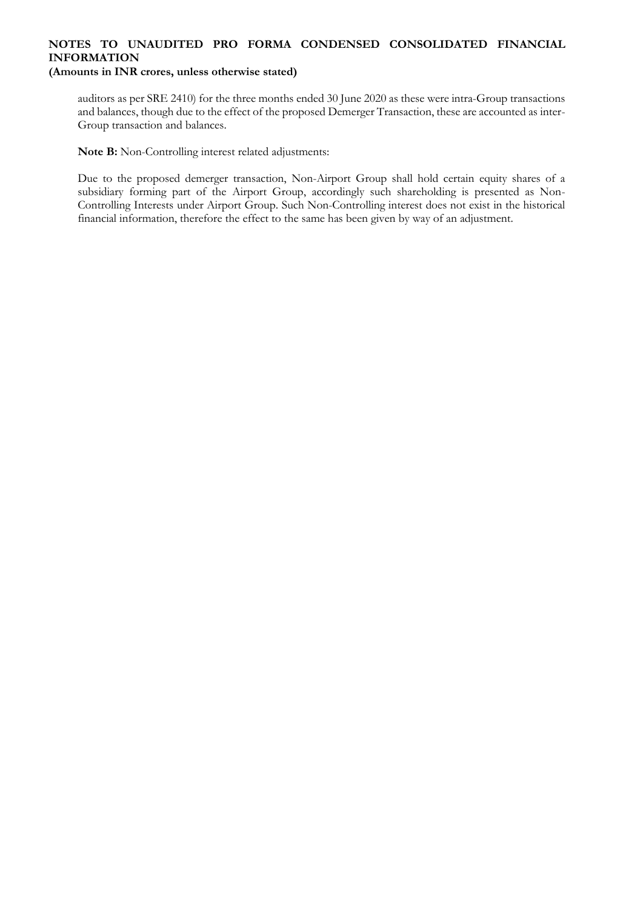## **NOTES TO UNAUDITED PRO FORMA CONDENSED CONSOLIDATED FINANCIAL INFORMATION (Amounts in INR crores, unless otherwise stated)**

auditors as per SRE 2410) for the three months ended 30 June 2020 as these were intra-Group transactions and balances, though due to the effect of the proposed Demerger Transaction, these are accounted as inter-Group transaction and balances.

**Note B:** Non-Controlling interest related adjustments:

Due to the proposed demerger transaction, Non-Airport Group shall hold certain equity shares of a subsidiary forming part of the Airport Group, accordingly such shareholding is presented as Non-Controlling Interests under Airport Group. Such Non-Controlling interest does not exist in the historical financial information, therefore the effect to the same has been given by way of an adjustment.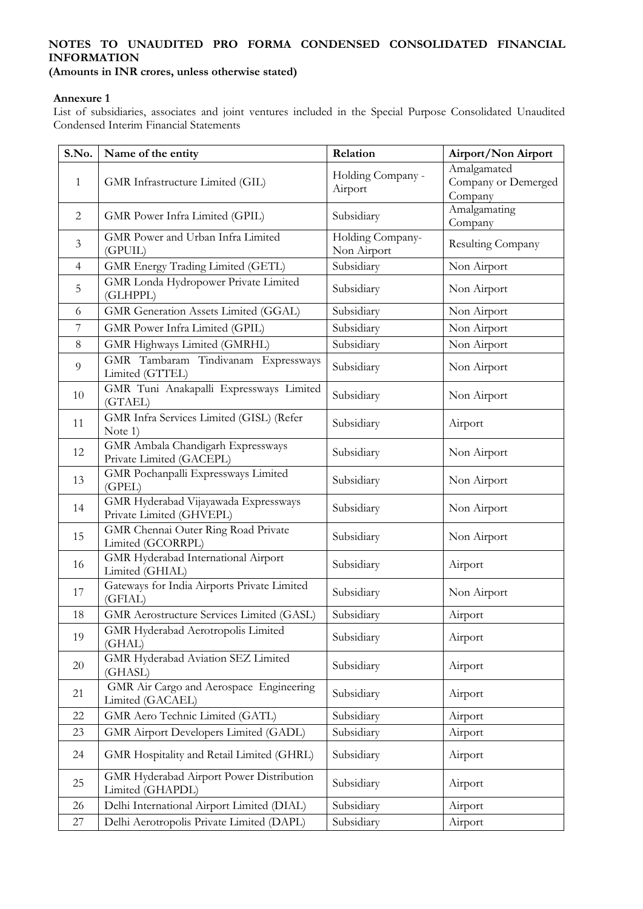**(Amounts in INR crores, unless otherwise stated)**

### **Annexure 1**

List of subsidiaries, associates and joint ventures included in the Special Purpose Consolidated Unaudited Condensed Interim Financial Statements

| S.No.          | Name of the entity                                               | Relation                        | Airport/Non Airport                           |
|----------------|------------------------------------------------------------------|---------------------------------|-----------------------------------------------|
| $\mathbf{1}$   | GMR Infrastructure Limited (GIL)                                 | Holding Company -<br>Airport    | Amalgamated<br>Company or Demerged<br>Company |
| $\overline{2}$ | GMR Power Infra Limited (GPIL)                                   | Subsidiary                      | Amalgamating<br>Company                       |
| $\mathfrak{Z}$ | GMR Power and Urban Infra Limited<br>(GPUIL)                     | Holding Company-<br>Non Airport | Resulting Company                             |
| $\overline{4}$ | GMR Energy Trading Limited (GETL)                                | Subsidiary                      | Non Airport                                   |
| 5              | <b>GMR</b> Londa Hydropower Private Limited<br>(GLHPPL)          | Subsidiary                      | Non Airport                                   |
| 6              | GMR Generation Assets Limited (GGAL)                             | Subsidiary                      | Non Airport                                   |
| 7              | GMR Power Infra Limited (GPIL)                                   | Subsidiary                      | Non Airport                                   |
| 8              | GMR Highways Limited (GMRHL)                                     | Subsidiary                      | Non Airport                                   |
| 9              | GMR Tambaram Tindivanam Expressways<br>Limited (GTTEL)           | Subsidiary                      | Non Airport                                   |
| 10             | GMR Tuni Anakapalli Expressways Limited<br>(GTAEL)               | Subsidiary                      | Non Airport                                   |
| 11             | GMR Infra Services Limited (GISL) (Refer<br>Note 1)              | Subsidiary                      | Airport                                       |
| 12             | GMR Ambala Chandigarh Expressways<br>Private Limited (GACEPL)    | Subsidiary                      | Non Airport                                   |
| 13             | GMR Pochanpalli Expressways Limited<br>(GPEL)                    | Subsidiary                      | Non Airport                                   |
| 14             | GMR Hyderabad Vijayawada Expressways<br>Private Limited (GHVEPL) | Subsidiary                      | Non Airport                                   |
| 15             | <b>GMR</b> Chennai Outer Ring Road Private<br>Limited (GCORRPL)  | Subsidiary                      | Non Airport                                   |
| 16             | GMR Hyderabad International Airport<br>Limited (GHIAL)           | Subsidiary                      | Airport                                       |
| 17             | Gateways for India Airports Private Limited<br>(GFIAL)           | Subsidiary                      | Non Airport                                   |
| 18             | <b>GMR</b> Aerostructure Services Limited (GASL)                 | Subsidiary                      | Airport                                       |
| 19             | GMR Hyderabad Aerotropolis Limited<br>(GHAL)                     | Subsidiary                      | Airport                                       |
| 20             | GMR Hyderabad Aviation SEZ Limited<br>(GHASL)                    | Subsidiary                      | Airport                                       |
| 21             | GMR Air Cargo and Aerospace Engineering<br>Limited (GACAEL)      | Subsidiary                      | Airport                                       |
| 22             | GMR Aero Technic Limited (GATL)                                  | Subsidiary                      | Airport                                       |
| 23             | <b>GMR</b> Airport Developers Limited (GADL)                     | Subsidiary                      | Airport                                       |
| 24             | GMR Hospitality and Retail Limited (GHRL)                        | Subsidiary                      | Airport                                       |
| 25             | GMR Hyderabad Airport Power Distribution<br>Limited (GHAPDL)     | Subsidiary                      | Airport                                       |
| 26             | Delhi International Airport Limited (DIAL)                       | Subsidiary                      | Airport                                       |
| 27             | Delhi Aerotropolis Private Limited (DAPL)                        | Subsidiary                      | Airport                                       |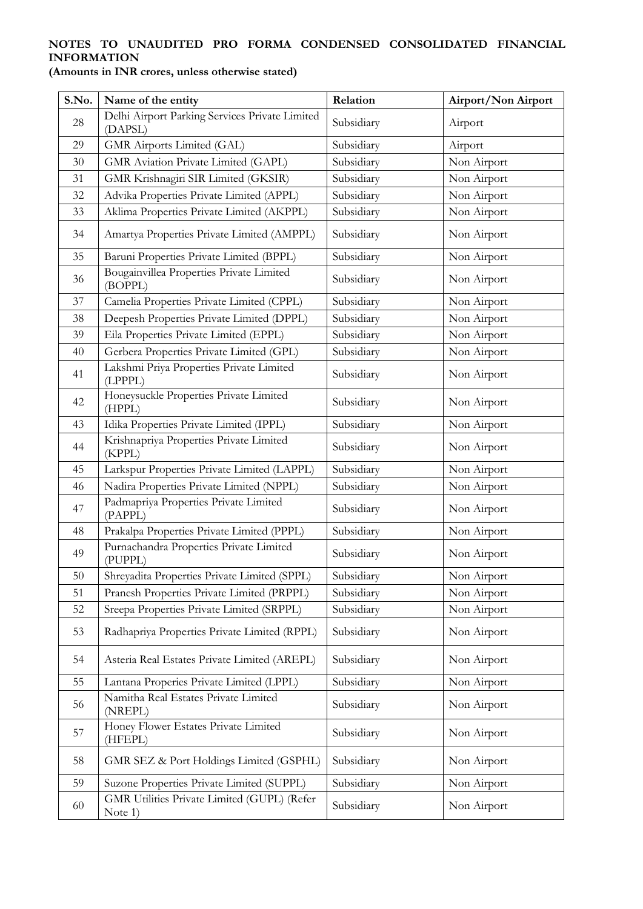| S.No. | Name of the entity                                        | Relation   | Airport/Non Airport |
|-------|-----------------------------------------------------------|------------|---------------------|
| 28    | Delhi Airport Parking Services Private Limited<br>(DAPSL) | Subsidiary | Airport             |
| 29    | GMR Airports Limited (GAL)                                | Subsidiary | Airport             |
| 30    | GMR Aviation Private Limited (GAPL)                       | Subsidiary | Non Airport         |
| 31    | GMR Krishnagiri SIR Limited (GKSIR)                       | Subsidiary | Non Airport         |
| 32    | Advika Properties Private Limited (APPL)                  | Subsidiary | Non Airport         |
| 33    | Aklima Properties Private Limited (AKPPL)                 | Subsidiary | Non Airport         |
| 34    | Amartya Properties Private Limited (AMPPL)                | Subsidiary | Non Airport         |
| 35    | Baruni Properties Private Limited (BPPL)                  | Subsidiary | Non Airport         |
| 36    | Bougainvillea Properties Private Limited<br>(BOPPL)       | Subsidiary | Non Airport         |
| 37    | Camelia Properties Private Limited (CPPL)                 | Subsidiary | Non Airport         |
| 38    | Deepesh Properties Private Limited (DPPL)                 | Subsidiary | Non Airport         |
| 39    | Eila Properties Private Limited (EPPL)                    | Subsidiary | Non Airport         |
| 40    | Gerbera Properties Private Limited (GPL)                  | Subsidiary | Non Airport         |
| 41    | Lakshmi Priya Properties Private Limited<br>(LPPPL)       | Subsidiary | Non Airport         |
| 42    | Honeysuckle Properties Private Limited<br>(HPPL)          | Subsidiary | Non Airport         |
| 43    | Idika Properties Private Limited (IPPL)                   | Subsidiary | Non Airport         |
| 44    | Krishnapriya Properties Private Limited<br>(KPPL)         | Subsidiary | Non Airport         |
| 45    | Larkspur Properties Private Limited (LAPPL)               | Subsidiary | Non Airport         |
| 46    | Nadira Properties Private Limited (NPPL)                  | Subsidiary | Non Airport         |
| 47    | Padmapriya Properties Private Limited<br>(PAPPL)          | Subsidiary | Non Airport         |
| 48    | Prakalpa Properties Private Limited (PPPL)                | Subsidiary | Non Airport         |
| 49    | Purnachandra Properties Private Limited<br>(PUPPL)        | Subsidiary | Non Airport         |
| 50    | Shreyadita Properties Private Limited (SPPL)              | Subsidiary | Non Airport         |
| 51    | Pranesh Properties Private Limited (PRPPL)                | Subsidiary | Non Airport         |
| 52    | Sreepa Properties Private Limited (SRPPL)                 | Subsidiary | Non Airport         |
| 53    | Radhapriya Properties Private Limited (RPPL)              | Subsidiary | Non Airport         |
| 54    | Asteria Real Estates Private Limited (AREPL)              | Subsidiary | Non Airport         |
| 55    | Lantana Properies Private Limited (LPPL)                  | Subsidiary | Non Airport         |
| 56    | Namitha Real Estates Private Limited<br>(NREPL)           | Subsidiary | Non Airport         |
| 57    | Honey Flower Estates Private Limited<br>(HFEPL)           | Subsidiary | Non Airport         |
| 58    | GMR SEZ & Port Holdings Limited (GSPHL)                   | Subsidiary | Non Airport         |
| 59    | Suzone Properties Private Limited (SUPPL)                 | Subsidiary | Non Airport         |
| 60    | GMR Utilities Private Limited (GUPL) (Refer<br>Note 1)    | Subsidiary | Non Airport         |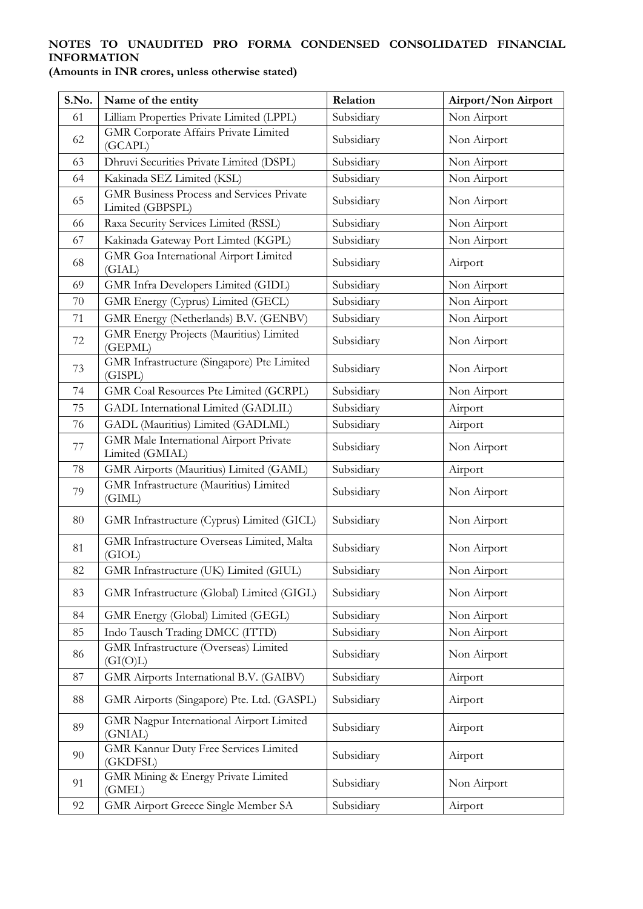| S.No. | Name of the entity                                                   | Relation   | Airport/Non Airport |
|-------|----------------------------------------------------------------------|------------|---------------------|
| 61    | Lilliam Properties Private Limited (LPPL)                            | Subsidiary | Non Airport         |
| 62    | <b>GMR</b> Corporate Affairs Private Limited<br>(GCAPL)              | Subsidiary | Non Airport         |
| 63    | Dhruvi Securities Private Limited (DSPL)                             | Subsidiary | Non Airport         |
| 64    | Kakinada SEZ Limited (KSL)                                           | Subsidiary | Non Airport         |
| 65    | <b>GMR Business Process and Services Private</b><br>Limited (GBPSPL) | Subsidiary | Non Airport         |
| 66    | Raxa Security Services Limited (RSSL)                                | Subsidiary | Non Airport         |
| 67    | Kakinada Gateway Port Limted (KGPL)                                  | Subsidiary | Non Airport         |
| 68    | GMR Goa International Airport Limited<br>(GIAL)                      | Subsidiary | Airport             |
| 69    | GMR Infra Developers Limited (GIDL)                                  | Subsidiary | Non Airport         |
| 70    | GMR Energy (Cyprus) Limited (GECL)                                   | Subsidiary | Non Airport         |
| 71    | GMR Energy (Netherlands) B.V. (GENBV)                                | Subsidiary | Non Airport         |
| 72    | GMR Energy Projects (Mauritius) Limited<br>(GEPML)                   | Subsidiary | Non Airport         |
| 73    | GMR Infrastructure (Singapore) Pte Limited<br>(GISPL)                | Subsidiary | Non Airport         |
| 74    | GMR Coal Resources Pte Limited (GCRPL)                               | Subsidiary | Non Airport         |
| 75    | GADL International Limited (GADLIL)                                  | Subsidiary | Airport             |
| 76    | GADL (Mauritius) Limited (GADLML)                                    | Subsidiary | Airport             |
| 77    | GMR Male International Airport Private<br>Limited (GMIAL)            | Subsidiary | Non Airport         |
| 78    | GMR Airports (Mauritius) Limited (GAML)                              | Subsidiary | Airport             |
| 79    | GMR Infrastructure (Mauritius) Limited<br>(GIML)                     | Subsidiary | Non Airport         |
| 80    | GMR Infrastructure (Cyprus) Limited (GICL)                           | Subsidiary | Non Airport         |
| 81    | <b>GMR</b> Infrastructure Overseas Limited, Malta<br>(GIOL)          | Subsidiary | Non Airport         |
| 82    | GMR Infrastructure (UK) Limited (GIUL)                               | Subsidiary | Non Airport         |
| 83    | GMR Infrastructure (Global) Limited (GIGL)                           | Subsidiary | Non Airport         |
| 84    | GMR Energy (Global) Limited (GEGL)                                   | Subsidiary | Non Airport         |
| 85    | Indo Tausch Trading DMCC (ITTD)                                      | Subsidiary | Non Airport         |
| 86    | GMR Infrastructure (Overseas) Limited<br>(GI(O)L)                    | Subsidiary | Non Airport         |
| 87    | GMR Airports International B.V. (GAIBV)                              | Subsidiary | Airport             |
| 88    | GMR Airports (Singapore) Pte. Ltd. (GASPL)                           | Subsidiary | Airport             |
| 89    | GMR Nagpur International Airport Limited<br>(GNIAL)                  | Subsidiary | Airport             |
| 90    | <b>GMR Kannur Duty Free Services Limited</b><br>(GKDFSL)             | Subsidiary | Airport             |
| 91    | GMR Mining & Energy Private Limited<br>(GMEL)                        | Subsidiary | Non Airport         |
| 92    | GMR Airport Greece Single Member SA                                  | Subsidiary | Airport             |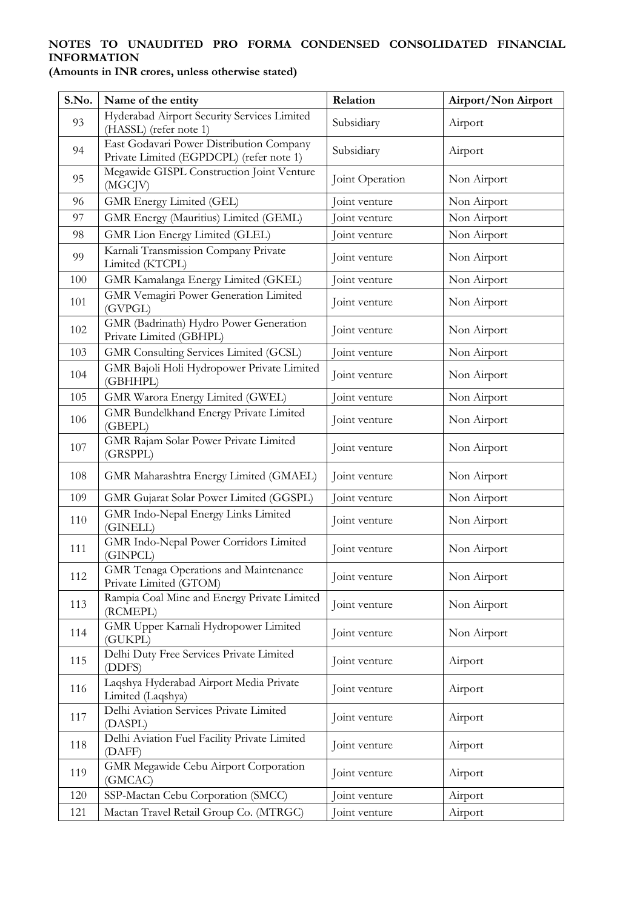| S.No. | Name of the entity                                                                   | Relation        | Airport/Non Airport |
|-------|--------------------------------------------------------------------------------------|-----------------|---------------------|
| 93    | Hyderabad Airport Security Services Limited<br>(HASSL) (refer note 1)                | Subsidiary      | Airport             |
| 94    | East Godavari Power Distribution Company<br>Private Limited (EGPDCPL) (refer note 1) | Subsidiary      | Airport             |
| 95    | Megawide GISPL Construction Joint Venture<br>(MGCJV)                                 | Joint Operation | Non Airport         |
| 96    | GMR Energy Limited (GEL)                                                             | Joint venture   | Non Airport         |
| 97    | GMR Energy (Mauritius) Limited (GEML)                                                | Joint venture   | Non Airport         |
| 98    | GMR Lion Energy Limited (GLEL)                                                       | Joint venture   | Non Airport         |
| 99    | Karnali Transmission Company Private<br>Limited (KTCPL)                              | Joint venture   | Non Airport         |
| 100   | GMR Kamalanga Energy Limited (GKEL)                                                  | Joint venture   | Non Airport         |
| 101   | <b>GMR Vemagiri Power Generation Limited</b><br>(GVPGL)                              | Joint venture   | Non Airport         |
| 102   | GMR (Badrinath) Hydro Power Generation<br>Private Limited (GBHPL)                    | Joint venture   | Non Airport         |
| 103   | GMR Consulting Services Limited (GCSL)                                               | Joint venture   | Non Airport         |
| 104   | GMR Bajoli Holi Hydropower Private Limited<br>(GBHHPL)                               | Joint venture   | Non Airport         |
| 105   | GMR Warora Energy Limited (GWEL)                                                     | Joint venture   | Non Airport         |
| 106   | GMR Bundelkhand Energy Private Limited<br>(GBEPL)                                    | Joint venture   | Non Airport         |
| 107   | GMR Rajam Solar Power Private Limited<br>(GRSPPL)                                    | Joint venture   | Non Airport         |
| 108   | GMR Maharashtra Energy Limited (GMAEL)                                               | Joint venture   | Non Airport         |
| 109   | GMR Gujarat Solar Power Limited (GGSPL)                                              | Joint venture   | Non Airport         |
| 110   | GMR Indo-Nepal Energy Links Limited<br>(GINELL)                                      | Joint venture   | Non Airport         |
| 111   | GMR Indo-Nepal Power Corridors Limited<br>(GINPCL)                                   | Joint venture   | Non Airport         |
| 112   | GMR Tenaga Operations and Maintenance<br>Private Limited (GTOM)                      | Joint venture   | Non Airport         |
| 113   | Rampia Coal Mine and Energy Private Limited<br>(RCMEPL)                              | Joint venture   | Non Airport         |
| 114   | GMR Upper Karnali Hydropower Limited<br>(GUKPL)                                      | Joint venture   | Non Airport         |
| 115   | Delhi Duty Free Services Private Limited<br>(DDFS)                                   | Joint venture   | Airport             |
| 116   | Laqshya Hyderabad Airport Media Private<br>Limited (Laqshya)                         | Joint venture   | Airport             |
| 117   | Delhi Aviation Services Private Limited<br>(DASPL)                                   | Joint venture   | Airport             |
| 118   | Delhi Aviation Fuel Facility Private Limited<br>(DAFF)                               | Joint venture   | Airport             |
| 119   | GMR Megawide Cebu Airport Corporation<br>(GMCAC)                                     | Joint venture   | Airport             |
| 120   | SSP-Mactan Cebu Corporation (SMCC)                                                   | Joint venture   | Airport             |
| 121   | Mactan Travel Retail Group Co. (MTRGC)                                               | Joint venture   | Airport             |